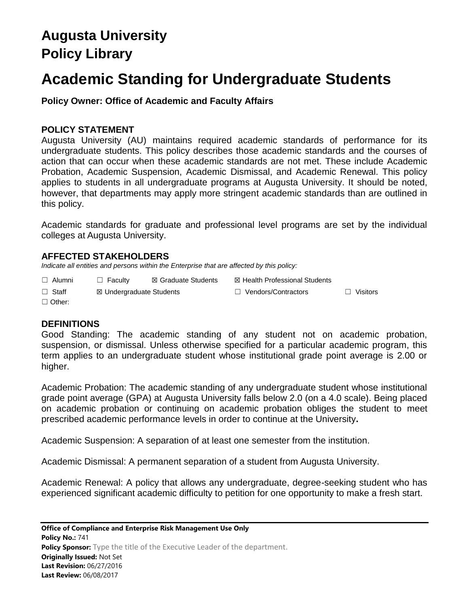# **Augusta University Policy Library**

# **Academic Standing for Undergraduate Students**

**Policy Owner: Office of Academic and Faculty Affairs**

## **POLICY STATEMENT**

Augusta University (AU) maintains required academic standards of performance for its undergraduate students. This policy describes those academic standards and the courses of action that can occur when these academic standards are not met. These include Academic Probation, Academic Suspension, Academic Dismissal, and Academic Renewal. This policy applies to students in all undergraduate programs at Augusta University. It should be noted, however, that departments may apply more stringent academic standards than are outlined in this policy.

Academic standards for graduate and professional level programs are set by the individual colleges at Augusta University.

## **AFFECTED STAKEHOLDERS**

*Indicate all entities and persons within the Enterprise that are affected by this policy:* 

| $\Box$ Alumni | $\Box$ Faculty           | ⊠ Graduate Students | ⊠ Health Professional Students |                 |
|---------------|--------------------------|---------------------|--------------------------------|-----------------|
| $\Box$ Staff  | ⊠ Undergraduate Students |                     | $\Box$ Vendors/Contractors     | $\Box$ Visitors |
| $\Box$ Other: |                          |                     |                                |                 |

## **DEFINITIONS**

Good Standing: The academic standing of any student not on academic probation, suspension, or dismissal. Unless otherwise specified for a particular academic program, this term applies to an undergraduate student whose institutional grade point average is 2.00 or higher.

Academic Probation: The academic standing of any undergraduate student whose institutional grade point average (GPA) at Augusta University falls below 2.0 (on a 4.0 scale). Being placed on academic probation or continuing on academic probation obliges the student to meet prescribed academic performance levels in order to continue at the University**.**

Academic Suspension: A separation of at least one semester from the institution.

Academic Dismissal: A permanent separation of a student from Augusta University.

Academic Renewal: A policy that allows any undergraduate, degree-seeking student who has experienced significant academic difficulty to petition for one opportunity to make a fresh start.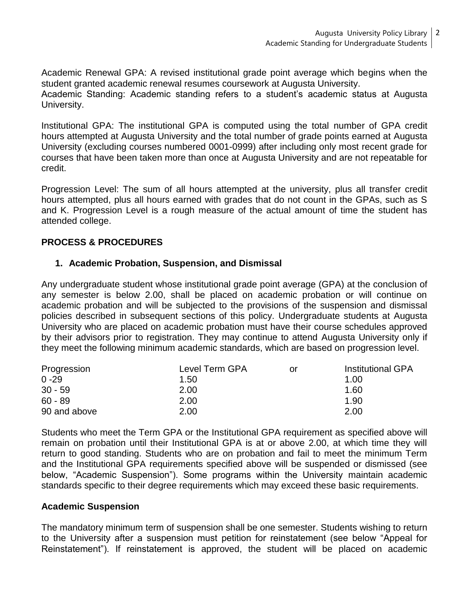Academic Renewal GPA: A revised institutional grade point average which begins when the student granted academic renewal resumes coursework at Augusta University.

Academic Standing: Academic standing refers to a student's academic status at Augusta University.

Institutional GPA: The institutional GPA is computed using the total number of GPA credit hours attempted at Augusta University and the total number of grade points earned at Augusta University (excluding courses numbered 0001-0999) after including only most recent grade for courses that have been taken more than once at Augusta University and are not repeatable for credit.

Progression Level: The sum of all hours attempted at the university, plus all transfer credit hours attempted, plus all hours earned with grades that do not count in the GPAs, such as S and K. Progression Level is a rough measure of the actual amount of time the student has attended college.

## **PROCESS & PROCEDURES**

## **1. Academic Probation, Suspension, and Dismissal**

Any undergraduate student whose institutional grade point average (GPA) at the conclusion of any semester is below 2.00, shall be placed on academic probation or will continue on academic probation and will be subjected to the provisions of the suspension and dismissal policies described in subsequent sections of this policy. Undergraduate students at Augusta University who are placed on academic probation must have their course schedules approved by their advisors prior to registration. They may continue to attend Augusta University only if they meet the following minimum academic standards, which are based on progression level.

| Progression  | Level Term GPA | .or | <b>Institutional GPA</b> |
|--------------|----------------|-----|--------------------------|
| $0 - 29$     | 1.50           |     | 1.00                     |
| $30 - 59$    | 2.00           |     | 1.60                     |
| $60 - 89$    | 2.00           |     | 1.90                     |
| 90 and above | 2.00           |     | 2.00                     |

Students who meet the Term GPA or the Institutional GPA requirement as specified above will remain on probation until their Institutional GPA is at or above 2.00, at which time they will return to good standing. Students who are on probation and fail to meet the minimum Term and the Institutional GPA requirements specified above will be suspended or dismissed (see below, "Academic Suspension"). Some programs within the University maintain academic standards specific to their degree requirements which may exceed these basic requirements.

#### **Academic Suspension**

The mandatory minimum term of suspension shall be one semester. Students wishing to return to the University after a suspension must petition for reinstatement (see below "Appeal for Reinstatement"). If reinstatement is approved, the student will be placed on academic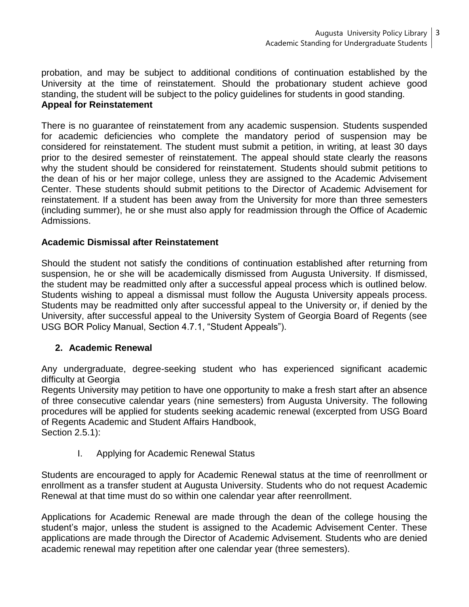probation, and may be subject to additional conditions of continuation established by the University at the time of reinstatement. Should the probationary student achieve good standing, the student will be subject to the policy guidelines for students in good standing. **Appeal for Reinstatement**

There is no guarantee of reinstatement from any academic suspension. Students suspended for academic deficiencies who complete the mandatory period of suspension may be considered for reinstatement. The student must submit a petition, in writing, at least 30 days prior to the desired semester of reinstatement. The appeal should state clearly the reasons why the student should be considered for reinstatement. Students should submit petitions to the dean of his or her major college, unless they are assigned to the Academic Advisement Center. These students should submit petitions to the Director of Academic Advisement for reinstatement. If a student has been away from the University for more than three semesters (including summer), he or she must also apply for readmission through the Office of Academic Admissions.

## **Academic Dismissal after Reinstatement**

Should the student not satisfy the conditions of continuation established after returning from suspension, he or she will be academically dismissed from Augusta University. If dismissed, the student may be readmitted only after a successful appeal process which is outlined below. Students wishing to appeal a dismissal must follow the Augusta University appeals process. Students may be readmitted only after successful appeal to the University or, if denied by the University, after successful appeal to the University System of Georgia Board of Regents (see USG BOR Policy Manual, Section 4.7.1, "Student Appeals").

### **2. Academic Renewal**

Any undergraduate, degree-seeking student who has experienced significant academic difficulty at Georgia

Regents University may petition to have one opportunity to make a fresh start after an absence of three consecutive calendar years (nine semesters) from Augusta University. The following procedures will be applied for students seeking academic renewal (excerpted from USG Board of Regents Academic and Student Affairs Handbook,

Section 2.5.1):

I. Applying for Academic Renewal Status

Students are encouraged to apply for Academic Renewal status at the time of reenrollment or enrollment as a transfer student at Augusta University. Students who do not request Academic Renewal at that time must do so within one calendar year after reenrollment.

Applications for Academic Renewal are made through the dean of the college housing the student's major, unless the student is assigned to the Academic Advisement Center. These applications are made through the Director of Academic Advisement. Students who are denied academic renewal may repetition after one calendar year (three semesters).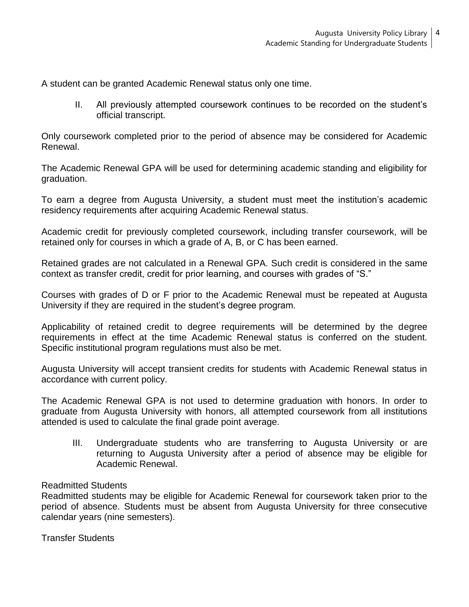A student can be granted Academic Renewal status only one time.

II. All previously attempted coursework continues to be recorded on the student's official transcript.

Only coursework completed prior to the period of absence may be considered for Academic Renewal.

The Academic Renewal GPA will be used for determining academic standing and eligibility for graduation.

To earn a degree from Augusta University, a student must meet the institution's academic residency requirements after acquiring Academic Renewal status.

Academic credit for previously completed coursework, including transfer coursework, will be retained only for courses in which a grade of A, B, or C has been earned.

Retained grades are not calculated in a Renewal GPA. Such credit is considered in the same context as transfer credit, credit for prior learning, and courses with grades of "S."

Courses with grades of D or F prior to the Academic Renewal must be repeated at Augusta University if they are required in the student's degree program.

Applicability of retained credit to degree requirements will be determined by the degree requirements in effect at the time Academic Renewal status is conferred on the student. Specific institutional program regulations must also be met.

Augusta University will accept transient credits for students with Academic Renewal status in accordance with current policy.

The Academic Renewal GPA is not used to determine graduation with honors. In order to graduate from Augusta University with honors, all attempted coursework from all institutions attended is used to calculate the final grade point average.

III. Undergraduate students who are transferring to Augusta University or are returning to Augusta University after a period of absence may be eligible for Academic Renewal.

### Readmitted Students

Readmitted students may be eligible for Academic Renewal for coursework taken prior to the period of absence. Students must be absent from Augusta University for three consecutive calendar years (nine semesters).

Transfer Students